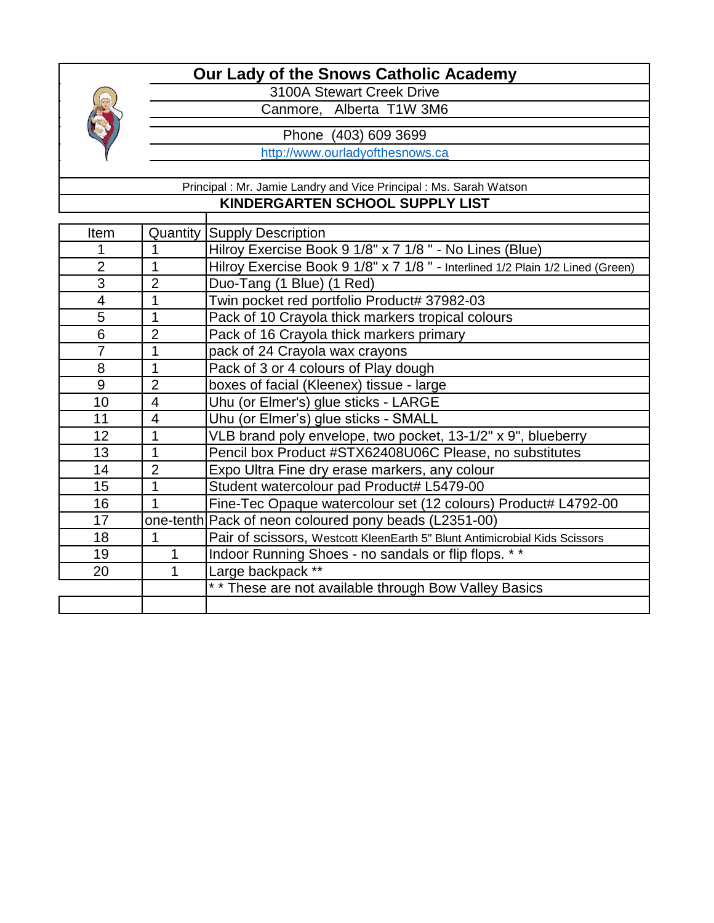

3100A Stewart Creek Drive

Canmore, Alberta T1W 3M6

Phone (403) 609 3699

[h](http://www.ourladyofthesnows.ca/)ttp://www.ourladyofthesnows.ca

Principal : Mr. Jamie Landry and Vice Principal : Ms. Sarah Watson **KINDERGARTEN SCHOOL SUPPLY LIST**

| Item           | Quantity       |                                                                               |
|----------------|----------------|-------------------------------------------------------------------------------|
|                |                | <b>Supply Description</b>                                                     |
|                |                | Hilroy Exercise Book 9 1/8" x 7 1/8" - No Lines (Blue)                        |
| $\overline{2}$ | 1              | Hilroy Exercise Book 9 1/8" x 7 1/8" - Interlined 1/2 Plain 1/2 Lined (Green) |
| 3              | $\overline{2}$ | Duo-Tang (1 Blue) (1 Red)                                                     |
| $\overline{4}$ | 1              | Twin pocket red portfolio Product# 37982-03                                   |
| 5              | 1              | Pack of 10 Crayola thick markers tropical colours                             |
| 6              | 2              | Pack of 16 Crayola thick markers primary                                      |
| $\overline{7}$ | 1              | pack of 24 Crayola wax crayons                                                |
| 8              | 1              | Pack of 3 or 4 colours of Play dough                                          |
| 9              | $\overline{2}$ | boxes of facial (Kleenex) tissue - large                                      |
| 10             | 4              | Uhu (or Elmer's) glue sticks - LARGE                                          |
| 11             | $\overline{4}$ | Uhu (or Elmer's) glue sticks - SMALL                                          |
| 12             | 1              | VLB brand poly envelope, two pocket, 13-1/2" x 9", blueberry                  |
| 13             | 1              | Pencil box Product #STX62408U06C Please, no substitutes                       |
| 14             | $\overline{2}$ | Expo Ultra Fine dry erase markers, any colour                                 |
| 15             | 1              | Student watercolour pad Product# L5479-00                                     |
| 16             | 1              | Fine-Tec Opaque watercolour set (12 colours) Product# L4792-00                |
| 17             |                | one-tenth Pack of neon coloured pony beads (L2351-00)                         |
| 18             |                | Pair of scissors, Westcott KleenEarth 5" Blunt Antimicrobial Kids Scissors    |
| 19             | 1              | Indoor Running Shoes - no sandals or flip flops. * *                          |
| 20             | 1              | Large backpack **                                                             |
|                |                | ** These are not available through Bow Valley Basics                          |
|                |                |                                                                               |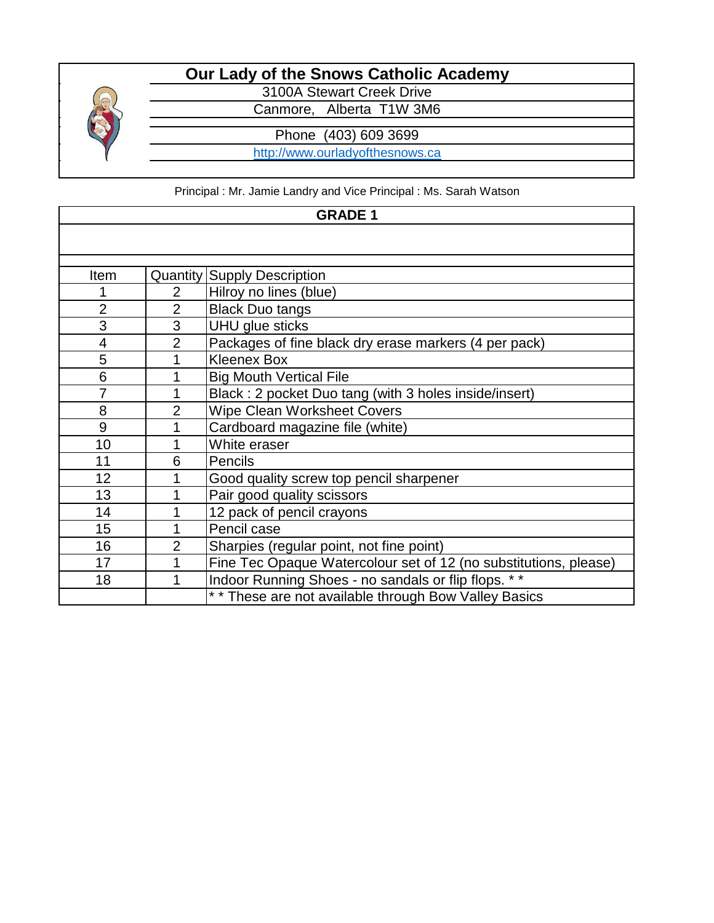

3100A Stewart Creek Drive

Canmore, Alberta T1W 3M6

Phone (403) 609 3699

http://www.ourladyofthesnows.ca

Principal : Mr. Jamie Landry and Vice Principal : Ms. Sarah Watson

| <b>GRADE 1</b> |                |                                                                  |  |
|----------------|----------------|------------------------------------------------------------------|--|
|                |                |                                                                  |  |
|                |                |                                                                  |  |
| Item           |                | <b>Quantity Supply Description</b>                               |  |
|                | 2              | Hilroy no lines (blue)                                           |  |
| $\overline{2}$ | $\overline{2}$ | <b>Black Duo tangs</b>                                           |  |
| 3              | 3              | UHU glue sticks                                                  |  |
| 4              | $\overline{2}$ | Packages of fine black dry erase markers (4 per pack)            |  |
| 5              |                | <b>Kleenex Box</b>                                               |  |
| 6              | 1              | <b>Big Mouth Vertical File</b>                                   |  |
| 7              | 1              | Black: 2 pocket Duo tang (with 3 holes inside/insert)            |  |
| 8              | $\overline{2}$ | <b>Wipe Clean Worksheet Covers</b>                               |  |
| 9              | 1              | Cardboard magazine file (white)                                  |  |
| 10             |                | White eraser                                                     |  |
| 11             | 6              | Pencils                                                          |  |
| 12             | 1              | Good quality screw top pencil sharpener                          |  |
| 13             |                | Pair good quality scissors                                       |  |
| 14             | 1              | 12 pack of pencil crayons                                        |  |
| 15             | 1              | Pencil case                                                      |  |
| 16             | $\overline{2}$ | Sharpies (regular point, not fine point)                         |  |
| 17             | 1              | Fine Tec Opaque Watercolour set of 12 (no substitutions, please) |  |
| 18             | 1              | Indoor Running Shoes - no sandals or flip flops. **              |  |
|                |                | ** These are not available through Bow Valley Basics             |  |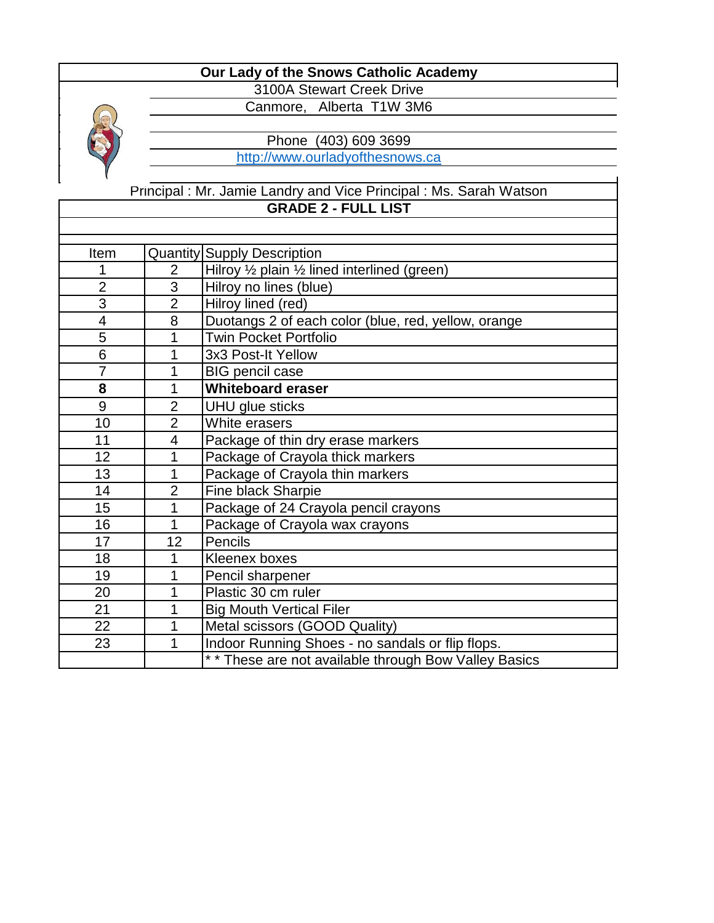

3100A Stewart Creek Drive Canmore, Alberta T1W 3M6

Phone (403) 609 3699

[h](http://www.ourladyofthesnows.ca/)ttp://www.ourladyofthesnows.ca

**GRADE 2 - FULL LIST** Principal : Mr. Jamie Landry and Vice Principal : Ms. Sarah Watson

| Item           |                | <b>Quantity Supply Description</b>                   |
|----------------|----------------|------------------------------------------------------|
|                | $\overline{2}$ | Hilroy 1/2 plain 1/2 lined interlined (green)        |
| $\overline{2}$ | 3              | Hilroy no lines (blue)                               |
| 3              | $\overline{2}$ | Hilroy lined (red)                                   |
| $\overline{4}$ | 8              | Duotangs 2 of each color (blue, red, yellow, orange  |
| 5              | 1              | <b>Twin Pocket Portfolio</b>                         |
| 6              | 1              | 3x3 Post-It Yellow                                   |
| $\overline{7}$ | 1              | <b>BIG pencil case</b>                               |
| 8              | 1              | <b>Whiteboard eraser</b>                             |
| 9              | $\overline{2}$ | <b>UHU</b> glue sticks                               |
| 10             | $\overline{2}$ | White erasers                                        |
| 11             | 4              | Package of thin dry erase markers                    |
| 12             | 1              | Package of Crayola thick markers                     |
| 13             | 1              | Package of Crayola thin markers                      |
| 14             | $\overline{2}$ | Fine black Sharpie                                   |
| 15             | 1              | Package of 24 Crayola pencil crayons                 |
| 16             | 1              | Package of Crayola wax crayons                       |
| 17             | 12             | Pencils                                              |
| 18             | 1              | Kleenex boxes                                        |
| 19             | 1              | Pencil sharpener                                     |
| 20             | 1              | Plastic 30 cm ruler                                  |
| 21             | 1              | <b>Big Mouth Vertical Filer</b>                      |
| 22             | 1              | Metal scissors (GOOD Quality)                        |
| 23             | 1              | Indoor Running Shoes - no sandals or flip flops.     |
|                |                | ** These are not available through Bow Valley Basics |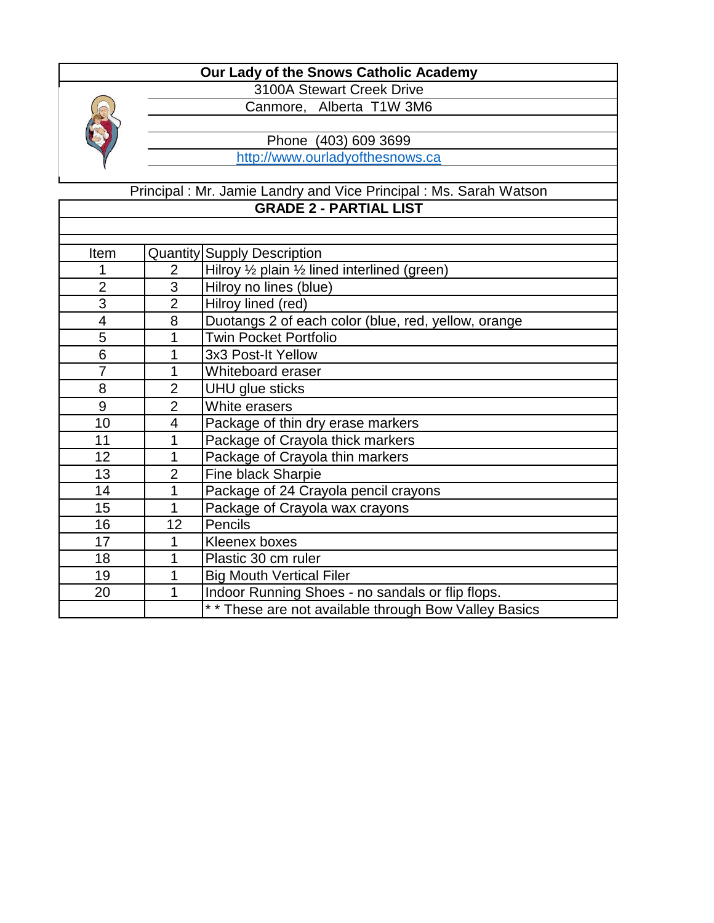

3100A Stewart Creek Drive Canmore, Alberta T1W 3M6

Phone (403) 609 3699

[h](http://www.ourladyofthesnows.ca/)ttp://www.ourladyofthesnows.ca

Principal : Mr. Jamie Landry and Vice Principal : Ms. Sarah Watson **GRADE 2 - PARTIAL LIST**

| Item           |                | <b>Quantity Supply Description</b>                   |
|----------------|----------------|------------------------------------------------------|
|                | $\overline{2}$ | Hilroy 1/2 plain 1/2 lined interlined (green)        |
| $\overline{2}$ | 3              | Hilroy no lines (blue)                               |
| 3              | $\overline{2}$ | Hilroy lined (red)                                   |
| $\overline{4}$ | 8              | Duotangs 2 of each color (blue, red, yellow, orange  |
| 5              | 1              | <b>Twin Pocket Portfolio</b>                         |
| 6              |                | 3x3 Post-It Yellow                                   |
| $\overline{7}$ | 1              | Whiteboard eraser                                    |
| 8              | $\overline{2}$ | <b>UHU</b> glue sticks                               |
| 9              | $\overline{2}$ | White erasers                                        |
| 10             | 4              | Package of thin dry erase markers                    |
| 11             | 1              | Package of Crayola thick markers                     |
| 12             |                | Package of Crayola thin markers                      |
| 13             | $\overline{2}$ | Fine black Sharpie                                   |
| 14             | 1              | Package of 24 Crayola pencil crayons                 |
| 15             | 1              | Package of Crayola wax crayons                       |
| 16             | 12             | Pencils                                              |
| 17             | 1              | Kleenex boxes                                        |
| 18             | 1              | Plastic 30 cm ruler                                  |
| 19             | 1              | <b>Big Mouth Vertical Filer</b>                      |
| 20             | 1              | Indoor Running Shoes - no sandals or flip flops.     |
|                |                | ** These are not available through Bow Valley Basics |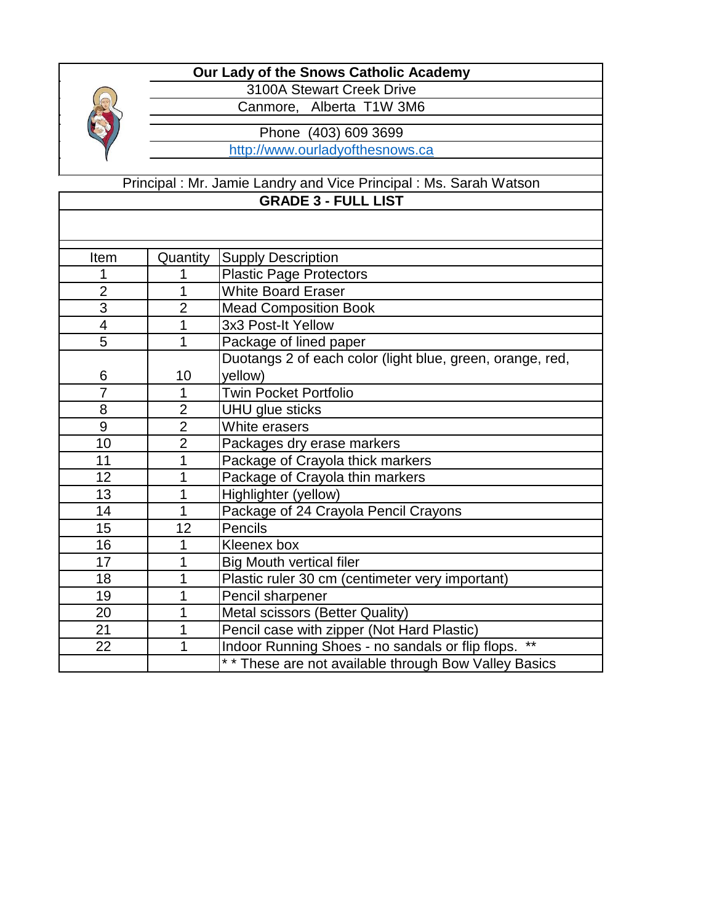

3100A Stewart Creek Drive Canmore, Alberta T1W 3M6

Phone (403) 609 3699

[h](http://www.ourladyofthesnows.ca/)ttp://www.ourladyofthesnows.ca

## **GRADE 3 - FULL LIST** Principal : Mr. Jamie Landry and Vice Principal : Ms. Sarah Watson

| Item                     | Quantity       | <b>Supply Description</b>                                 |
|--------------------------|----------------|-----------------------------------------------------------|
| 1                        | 1              | <b>Plastic Page Protectors</b>                            |
| $\overline{2}$           | 1              | <b>White Board Eraser</b>                                 |
| $\overline{3}$           | $\overline{2}$ | <b>Mead Composition Book</b>                              |
| $\overline{\mathcal{A}}$ |                | 3x3 Post-It Yellow                                        |
| 5                        | 1              | Package of lined paper                                    |
|                          |                | Duotangs 2 of each color (light blue, green, orange, red, |
| 6                        | 10             | yellow)                                                   |
| $\overline{7}$           | 1              | <b>Twin Pocket Portfolio</b>                              |
| 8                        | $\overline{2}$ | UHU glue sticks                                           |
| 9                        | $\overline{2}$ | White erasers                                             |
| 10                       | $\overline{2}$ | Packages dry erase markers                                |
| 11                       | 1              | Package of Crayola thick markers                          |
| 12                       | 1              | Package of Crayola thin markers                           |
| 13                       | 1              | Highlighter (yellow)                                      |
| 14                       | 1              | Package of 24 Crayola Pencil Crayons                      |
| 15                       | 12             | Pencils                                                   |
| 16                       | 1              | Kleenex box                                               |
| 17                       | 1              | <b>Big Mouth vertical filer</b>                           |
| 18                       | 1              | Plastic ruler 30 cm (centimeter very important)           |
| 19                       | 1              | Pencil sharpener                                          |
| 20                       |                | Metal scissors (Better Quality)                           |
| 21                       | 1              | Pencil case with zipper (Not Hard Plastic)                |
| 22                       | 1              | $***$<br>Indoor Running Shoes - no sandals or flip flops. |
|                          |                | ** These are not available through Bow Valley Basics      |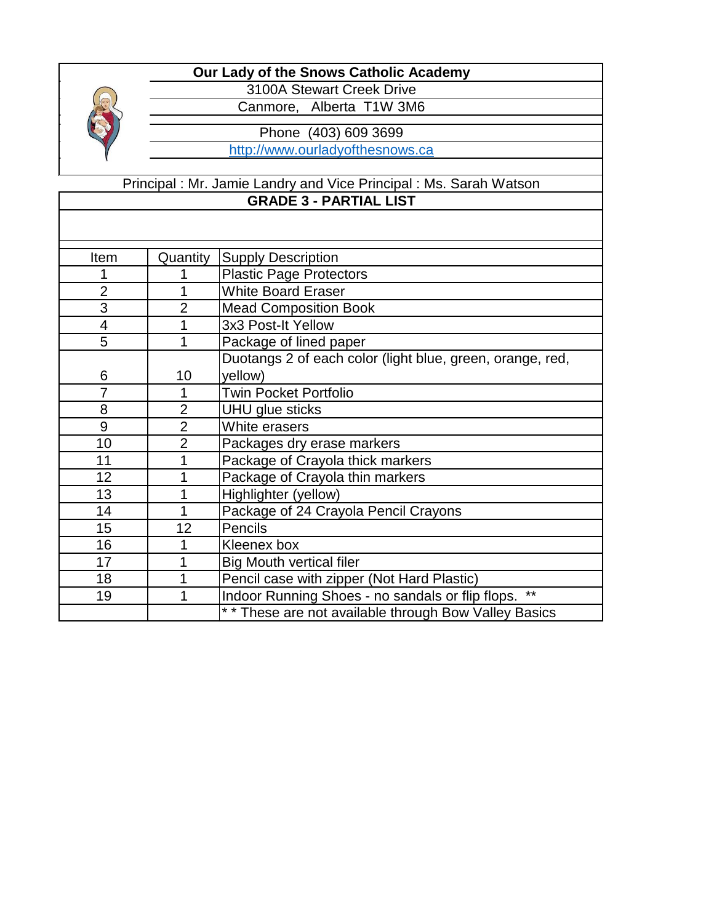

3100A Stewart Creek Drive Canmore, Alberta T1W 3M6

Phone (403) 609 3699

[h](http://www.ourladyofthesnows.ca/)ttp://www.ourladyofthesnows.ca

#### Principal : Mr. Jamie Landry and Vice Principal : Ms. Sarah Watson **GRADE 3 - PARTIAL LIST**

| Item           | Quantity       | <b>Supply Description</b>                                 |
|----------------|----------------|-----------------------------------------------------------|
|                |                | <b>Plastic Page Protectors</b>                            |
| $\overline{2}$ | 1              | <b>White Board Eraser</b>                                 |
| 3              | $\overline{2}$ | <b>Mead Composition Book</b>                              |
| 4              |                | 3x3 Post-It Yellow                                        |
| 5              |                | Package of lined paper                                    |
|                |                | Duotangs 2 of each color (light blue, green, orange, red, |
| 6              | 10             | yellow)                                                   |
| 7              | 1              | <b>Twin Pocket Portfolio</b>                              |
| 8              | $\overline{2}$ | UHU glue sticks                                           |
| 9              | $\overline{2}$ | White erasers                                             |
| 10             | $\overline{2}$ | Packages dry erase markers                                |
| 11             |                | Package of Crayola thick markers                          |
| 12             |                | Package of Crayola thin markers                           |
| 13             |                | Highlighter (yellow)                                      |
| 14             |                | Package of 24 Crayola Pencil Crayons                      |
| 15             | 12             | Pencils                                                   |
| 16             | 1              | Kleenex box                                               |
| 17             |                | <b>Big Mouth vertical filer</b>                           |
| 18             |                | Pencil case with zipper (Not Hard Plastic)                |
| 19             |                | $***$<br>Indoor Running Shoes - no sandals or flip flops. |
|                |                | ** These are not available through Bow Valley Basics      |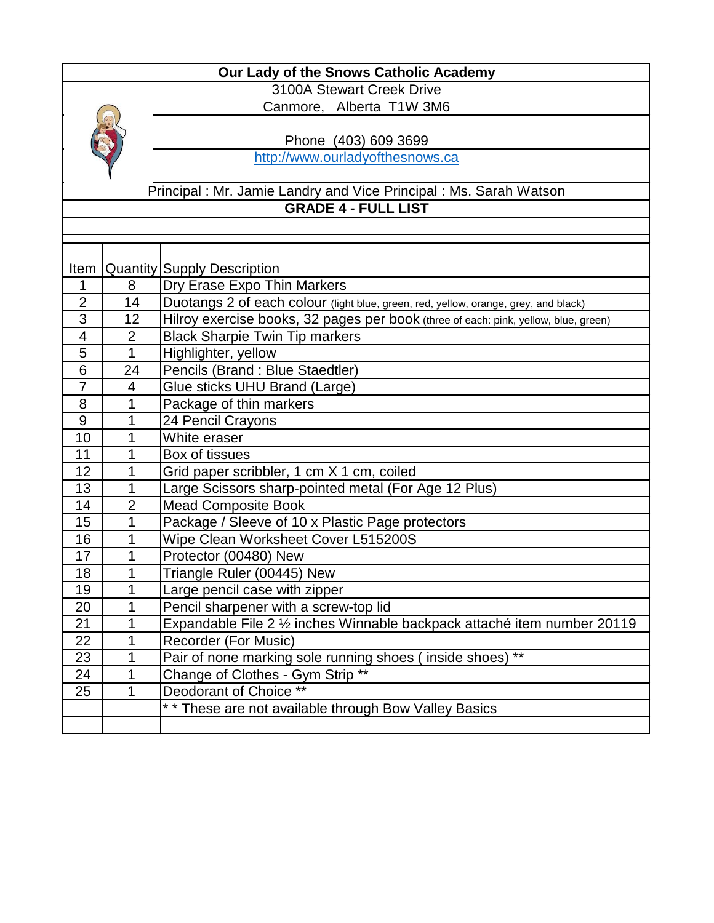

3100A Stewart Creek Drive Canmore, Alberta T1W 3M6

Phone (403) 609 3699

http://www.ourladyofthesnows.ca

#### **GRADE 4 - FULL LIST** Principal : Mr. Jamie Landry and Vice Principal : Ms. Sarah Watson

| Item           |                          | <b>Quantity Supply Description</b>                                                  |
|----------------|--------------------------|-------------------------------------------------------------------------------------|
| 1              | 8                        | Dry Erase Expo Thin Markers                                                         |
| $\overline{2}$ | 14                       | Duotangs 2 of each colour (light blue, green, red, yellow, orange, grey, and black) |
| 3              | 12                       | Hilroy exercise books, 32 pages per book (three of each: pink, yellow, blue, green) |
| 4              | $\overline{2}$           | <b>Black Sharpie Twin Tip markers</b>                                               |
| 5              | $\mathbf{1}$             | Highlighter, yellow                                                                 |
| 6              | 24                       | Pencils (Brand: Blue Staedtler)                                                     |
| $\overline{7}$ | $\overline{\mathcal{A}}$ | Glue sticks UHU Brand (Large)                                                       |
| 8              | 1                        | Package of thin markers                                                             |
| 9              | 1                        | 24 Pencil Crayons                                                                   |
| 10             | 1                        | White eraser                                                                        |
| 11             | 1                        | Box of tissues                                                                      |
| 12             | 1                        | Grid paper scribbler, 1 cm X 1 cm, coiled                                           |
| 13             | 1                        | Large Scissors sharp-pointed metal (For Age 12 Plus)                                |
| 14             | $\overline{2}$           | <b>Mead Composite Book</b>                                                          |
| 15             | 1                        | Package / Sleeve of 10 x Plastic Page protectors                                    |
| 16             | 1                        | Wipe Clean Worksheet Cover L515200S                                                 |
| 17             | 1                        | Protector (00480) New                                                               |
| 18             | 1                        | Triangle Ruler (00445) New                                                          |
| 19             | 1                        | Large pencil case with zipper                                                       |
| 20             | 1                        | Pencil sharpener with a screw-top lid                                               |
| 21             | 1                        | Expandable File 2 1/2 inches Winnable backpack attaché item number 20119            |
| 22             | 1                        | Recorder (For Music)                                                                |
| 23             | 1                        | Pair of none marking sole running shoes (inside shoes) **                           |
| 24             | 1                        | Change of Clothes - Gym Strip **                                                    |
| 25             | 1                        | Deodorant of Choice **                                                              |
|                |                          | ** These are not available through Bow Valley Basics                                |
|                |                          |                                                                                     |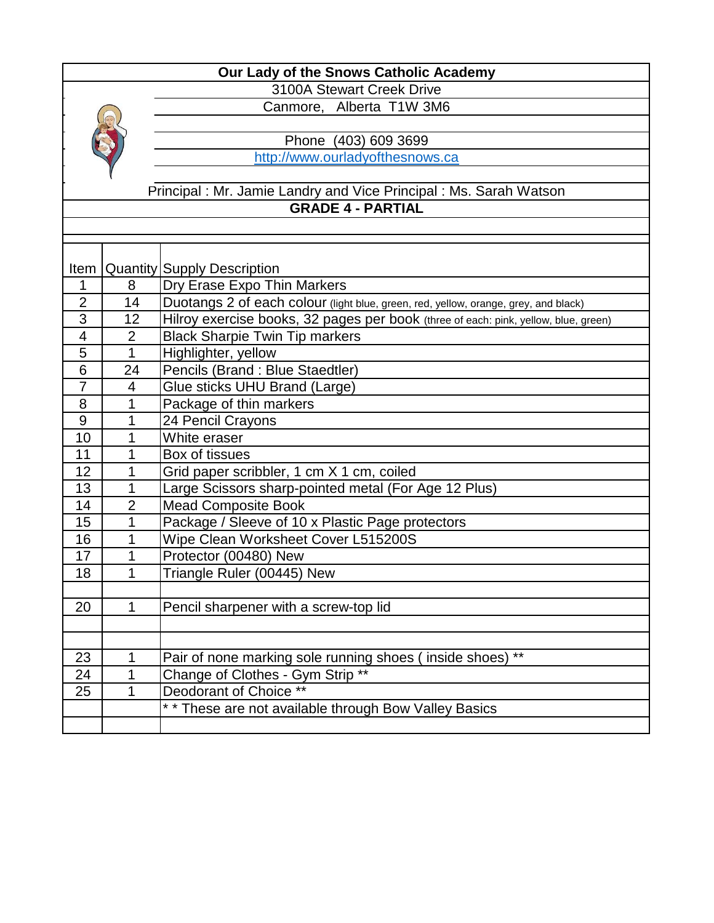

3100A Stewart Creek Drive Canmore, Alberta T1W 3M6

Phone (403) 609 3699

http://www.ourladyofthesnows.ca

## Principal : Mr. Jamie Landry and Vice Principal : Ms. Sarah Watson **GRADE 4 - PARTIAL**

| Item           |                | <b>Quantity Supply Description</b>                                                  |
|----------------|----------------|-------------------------------------------------------------------------------------|
| 1              | 8              | Dry Erase Expo Thin Markers                                                         |
| $\overline{2}$ | 14             | Duotangs 2 of each colour (light blue, green, red, yellow, orange, grey, and black) |
| 3              | 12             | Hilroy exercise books, 32 pages per book (three of each: pink, yellow, blue, green) |
| 4              | $\overline{2}$ | <b>Black Sharpie Twin Tip markers</b>                                               |
| 5              | 1              | Highlighter, yellow                                                                 |
| 6              | 24             | Pencils (Brand: Blue Staedtler)                                                     |
| $\overline{7}$ | 4              | Glue sticks UHU Brand (Large)                                                       |
| 8              | 1              | Package of thin markers                                                             |
| 9              | 1              | 24 Pencil Crayons                                                                   |
| 10             | 1              | White eraser                                                                        |
| 11             | 1              | Box of tissues                                                                      |
| 12             | 1              | Grid paper scribbler, 1 cm X 1 cm, coiled                                           |
| 13             | 1              | Large Scissors sharp-pointed metal (For Age 12 Plus)                                |
| 14             | $\overline{2}$ | <b>Mead Composite Book</b>                                                          |
| 15             | 1              | Package / Sleeve of 10 x Plastic Page protectors                                    |
| 16             | 1              | Wipe Clean Worksheet Cover L515200S                                                 |
| 17             | 1              | Protector (00480) New                                                               |
| 18             | 1              | Triangle Ruler (00445) New                                                          |
|                |                |                                                                                     |
| 20             | 1              | Pencil sharpener with a screw-top lid                                               |
|                |                |                                                                                     |
|                |                |                                                                                     |
| 23             | 1              | Pair of none marking sole running shoes (inside shoes) **                           |
| 24             | 1              | Change of Clothes - Gym Strip **                                                    |
| 25             | 1              | Deodorant of Choice **                                                              |
|                |                | ** These are not available through Bow Valley Basics                                |
|                |                |                                                                                     |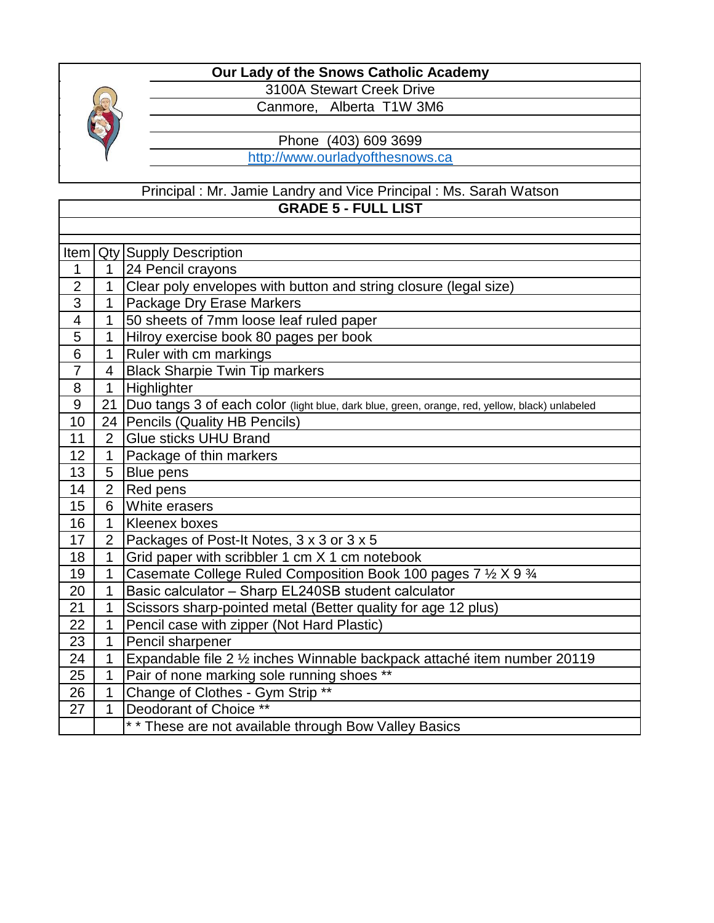

3100A Stewart Creek Drive Canmore, Alberta T1W 3M6

Phone (403) 609 3699

[h](http://www.ourladyofthesnows.ca/)ttp://www.ourladyofthesnows.ca

#### **GRADE 5 - FULL LIST** Principal : Mr. Jamie Landry and Vice Principal : Ms. Sarah Watson

| Item                    |                | <b>Qty Supply Description</b>                                                                  |
|-------------------------|----------------|------------------------------------------------------------------------------------------------|
| 1                       | 1              | 24 Pencil crayons                                                                              |
| $\overline{2}$          | 1              | Clear poly envelopes with button and string closure (legal size)                               |
| 3                       | 1              | Package Dry Erase Markers                                                                      |
| $\overline{\mathbf{4}}$ | 1              | 50 sheets of 7mm loose leaf ruled paper                                                        |
| 5                       | 1              | Hilroy exercise book 80 pages per book                                                         |
| 6                       | 1              | Ruler with cm markings                                                                         |
| $\overline{7}$          | $\overline{4}$ | <b>Black Sharpie Twin Tip markers</b>                                                          |
| 8                       | 1              | Highlighter                                                                                    |
| $\overline{9}$          | 21             | Duo tangs 3 of each color (light blue, dark blue, green, orange, red, yellow, black) unlabeled |
| 10                      | 24             | Pencils (Quality HB Pencils)                                                                   |
| 11                      | $\overline{2}$ | Glue sticks UHU Brand                                                                          |
| 12                      | 1              | Package of thin markers                                                                        |
| 13                      | 5              | Blue pens                                                                                      |
| 14                      | $\overline{2}$ | Red pens                                                                                       |
| 15                      | 6              | White erasers                                                                                  |
| 16                      | 1              | Kleenex boxes                                                                                  |
| 17                      | $\overline{2}$ | Packages of Post-It Notes, 3 x 3 or 3 x 5                                                      |
| 18                      | 1              | Grid paper with scribbler 1 cm X 1 cm notebook                                                 |
| 19                      | 1              | Casemate College Ruled Composition Book 100 pages 7 1/2 X 9 3/4                                |
| 20                      | 1              | Basic calculator - Sharp EL240SB student calculator                                            |
| 21                      | 1              | Scissors sharp-pointed metal (Better quality for age 12 plus)                                  |
| 22                      | 1              | Pencil case with zipper (Not Hard Plastic)                                                     |
| 23                      | 1              | Pencil sharpener                                                                               |
| 24                      | 1              | Expandable file 2 1/2 inches Winnable backpack attaché item number 20119                       |
| 25                      | 1              | Pair of none marking sole running shoes **                                                     |
| 26                      | 1              | Change of Clothes - Gym Strip **                                                               |
| 27                      | 1              | Deodorant of Choice **                                                                         |
|                         |                | * * These are not available through Bow Valley Basics                                          |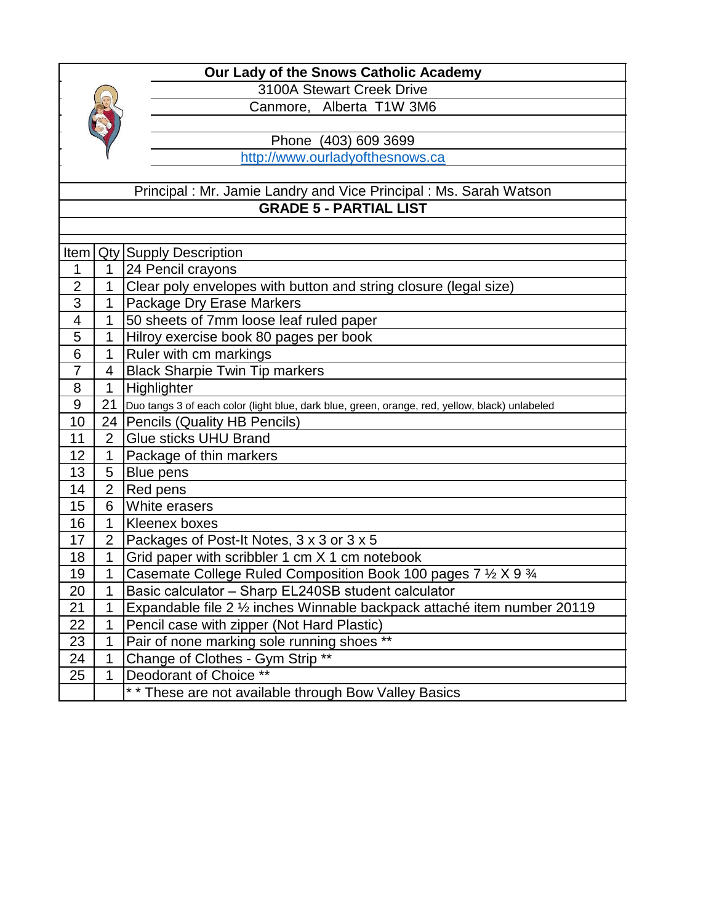

3100A Stewart Creek Drive Canmore, Alberta T1W 3M6

Phone (403) 609 3699

http://www.ourladyofthesnows.ca

#### Principal : Mr. Jamie Landry and Vice Principal : Ms. Sarah Watson **GRADE 5 - PARTIAL LIST**

| Item           |                | <b>Qty Supply Description</b>                                                                  |
|----------------|----------------|------------------------------------------------------------------------------------------------|
| 1              | 1              | 24 Pencil crayons                                                                              |
| $\overline{2}$ | 1              | Clear poly envelopes with button and string closure (legal size)                               |
| 3              | 1              | Package Dry Erase Markers                                                                      |
| 4              | 1              | 50 sheets of 7mm loose leaf ruled paper                                                        |
| 5              | 1              | Hilroy exercise book 80 pages per book                                                         |
| 6              | 1              | Ruler with cm markings                                                                         |
| $\overline{7}$ | $\overline{4}$ | <b>Black Sharpie Twin Tip markers</b>                                                          |
| 8              | 1              | Highlighter                                                                                    |
| 9              | 21             | Duo tangs 3 of each color (light blue, dark blue, green, orange, red, yellow, black) unlabeled |
| 10             |                | 24   Pencils (Quality HB Pencils)                                                              |
| 11             | $\overline{2}$ | <b>Glue sticks UHU Brand</b>                                                                   |
| 12             | 1              | Package of thin markers                                                                        |
| 13             | 5              | Blue pens                                                                                      |
| 14             | $\overline{2}$ | Red pens                                                                                       |
| 15             | 6              | White erasers                                                                                  |
| 16             | 1              | Kleenex boxes                                                                                  |
| 17             | $\overline{2}$ | Packages of Post-It Notes, 3 x 3 or 3 x 5                                                      |
| 18             | 1              | Grid paper with scribbler 1 cm X 1 cm notebook                                                 |
| 19             | 1              | Casemate College Ruled Composition Book 100 pages 7 1/2 X 9 3/4                                |
| 20             | 1              | Basic calculator - Sharp EL240SB student calculator                                            |
| 21             | 1              | Expandable file 2 1/2 inches Winnable backpack attaché item number 20119                       |
| 22             | 1              | Pencil case with zipper (Not Hard Plastic)                                                     |
| 23             | 1              | Pair of none marking sole running shoes **                                                     |
| 24             | 1              | Change of Clothes - Gym Strip **                                                               |
| 25             | 1              | Deodorant of Choice **                                                                         |
|                |                | ** These are not available through Bow Valley Basics                                           |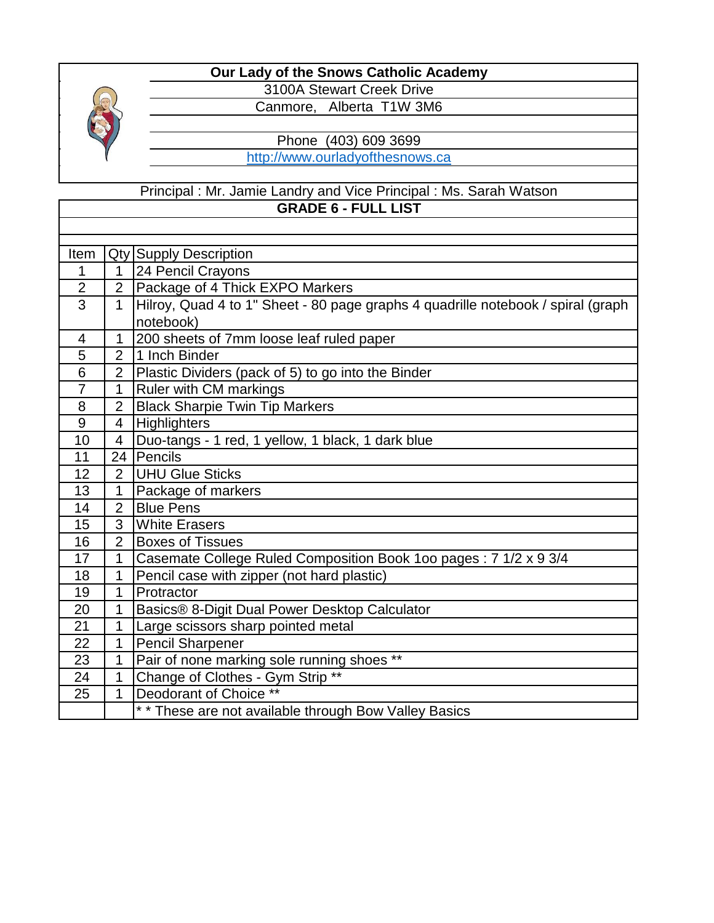

3100A Stewart Creek Drive Canmore, Alberta T1W 3M6

Phone (403) 609 3699

[h](http://www.ourladyofthesnows.ca/)ttp://www.ourladyofthesnows.ca

#### **GRADE 6 - FULL LIST** Principal : Mr. Jamie Landry and Vice Principal : Ms. Sarah Watson

| Item           |                | <b>Qty Supply Description</b>                                                    |
|----------------|----------------|----------------------------------------------------------------------------------|
| 1              | 1.             | 24 Pencil Crayons                                                                |
| $\overline{2}$ | $\overline{2}$ | Package of 4 Thick EXPO Markers                                                  |
| $\overline{3}$ | $\mathbf 1$    | Hilroy, Quad 4 to 1" Sheet - 80 page graphs 4 quadrille notebook / spiral (graph |
|                |                | notebook)                                                                        |
| 4              | $\mathbf{1}$   | 200 sheets of 7mm loose leaf ruled paper                                         |
| 5              | $\overline{2}$ | 1 Inch Binder                                                                    |
| 6              | $\overline{2}$ | Plastic Dividers (pack of 5) to go into the Binder                               |
| $\overline{7}$ | $\mathbf{1}$   | Ruler with CM markings                                                           |
| 8              | $\overline{2}$ | <b>Black Sharpie Twin Tip Markers</b>                                            |
| 9              | 4              | <b>Highlighters</b>                                                              |
| 10             | $\overline{4}$ | Duo-tangs - 1 red, 1 yellow, 1 black, 1 dark blue                                |
| 11             |                | 24 Pencils                                                                       |
| 12             | $\overline{2}$ | <b>UHU Glue Sticks</b>                                                           |
| 13             | $\mathbf{1}$   | Package of markers                                                               |
| 14             | $\overline{2}$ | <b>Blue Pens</b>                                                                 |
| 15             | 3              | <b>White Erasers</b>                                                             |
| 16             | $\overline{2}$ | <b>Boxes of Tissues</b>                                                          |
| 17             | $\mathbf{1}$   | Casemate College Ruled Composition Book 1oo pages: 7 1/2 x 9 3/4                 |
| 18             | $\mathbf 1$    | Pencil case with zipper (not hard plastic)                                       |
| 19             | 1              | Protractor                                                                       |
| 20             | $\mathbf{1}$   | Basics® 8-Digit Dual Power Desktop Calculator                                    |
| 21             | 1              | Large scissors sharp pointed metal                                               |
| 22             | 1              | <b>Pencil Sharpener</b>                                                          |
| 23             | $\mathbf 1$    | Pair of none marking sole running shoes **                                       |
| 24             | 1              | Change of Clothes - Gym Strip **                                                 |
| 25             | $\mathbf{1}$   | Deodorant of Choice **                                                           |
|                |                | ** These are not available through Bow Valley Basics                             |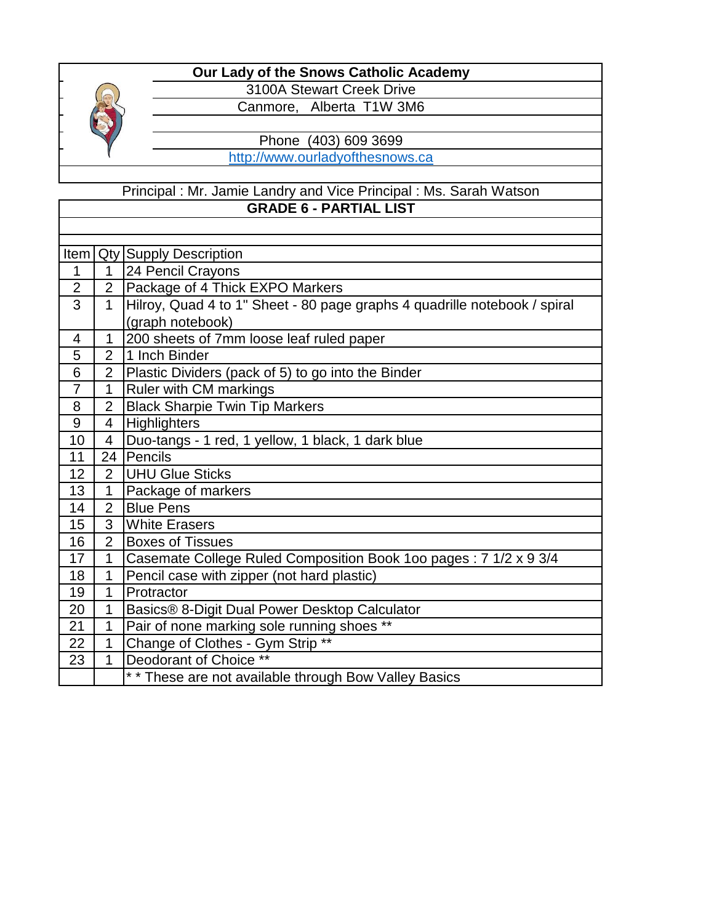

3100A Stewart Creek Drive Canmore, Alberta T1W 3M6

Phone (403) 609 3699

http://www.ourladyofthesnows.ca

## Principal : Mr. Jamie Landry and Vice Principal : Ms. Sarah Watson **GRADE 6 - PARTIAL LIST**

| Item           |                | <b>Qty Supply Description</b>                                             |
|----------------|----------------|---------------------------------------------------------------------------|
| 1              | 1              | 24 Pencil Crayons                                                         |
| $\overline{2}$ | $\overline{2}$ | Package of 4 Thick EXPO Markers                                           |
| 3              | $\mathbf{1}$   | Hilroy, Quad 4 to 1" Sheet - 80 page graphs 4 quadrille notebook / spiral |
|                |                | (graph notebook)                                                          |
| 4              | 1              | 200 sheets of 7mm loose leaf ruled paper                                  |
| 5              | $\overline{2}$ | 1 Inch Binder                                                             |
| 6              | $\overline{2}$ | Plastic Dividers (pack of 5) to go into the Binder                        |
| $\overline{7}$ | 1              | Ruler with CM markings                                                    |
| 8              | $\overline{2}$ | <b>Black Sharpie Twin Tip Markers</b>                                     |
| 9              | $\overline{4}$ | <b>Highlighters</b>                                                       |
| 10             | 4              | Duo-tangs - 1 red, 1 yellow, 1 black, 1 dark blue                         |
| 11             | 24             | Pencils                                                                   |
| 12             | $\overline{2}$ | UHU Glue Sticks                                                           |
| 13             | 1              | Package of markers                                                        |
| 14             | $\overline{2}$ | <b>Blue Pens</b>                                                          |
| 15             | 3              | <b>White Erasers</b>                                                      |
| 16             | $\overline{2}$ | <b>Boxes of Tissues</b>                                                   |
| 17             | 1              | Casemate College Ruled Composition Book 1oo pages: 7 1/2 x 9 3/4          |
| 18             | 1              | Pencil case with zipper (not hard plastic)                                |
| 19             | 1              | Protractor                                                                |
| 20             | 1              | Basics® 8-Digit Dual Power Desktop Calculator                             |
| 21             | 1              | Pair of none marking sole running shoes **                                |
| 22             | 1              | Change of Clothes - Gym Strip **                                          |
| 23             | 1              | Deodorant of Choice **                                                    |
|                |                | ** These are not available through Bow Valley Basics                      |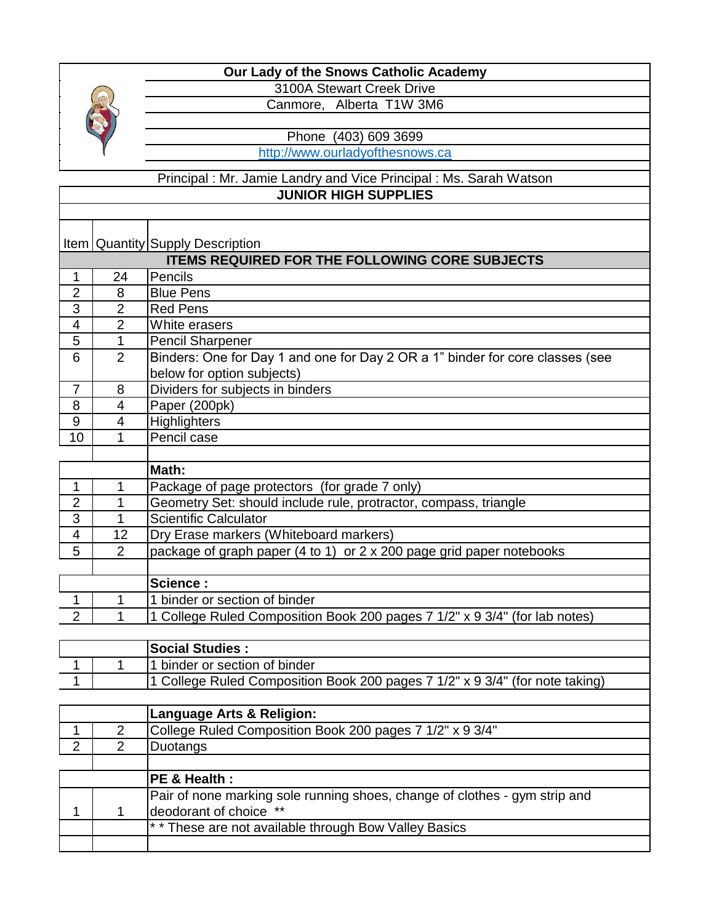

3100A Stewart Creek Drive Canmore, Alberta T1W 3M6

Phone (403) 609 3699

[h](http://www.ourladyofthesnows.ca/)ttp://www.ourladyofthesnows.ca

#### Principal : Mr. Jamie Landry and Vice Principal : Ms. Sarah Watson **JUNIOR HIGH SUPPLIES**

## Item Quantity Supply Description

| <b>ITEMS REQUIRED FOR THE FOLLOWING CORE SUBJECTS</b> |                |                                                                               |  |  |
|-------------------------------------------------------|----------------|-------------------------------------------------------------------------------|--|--|
|                                                       | 24             | Pencils                                                                       |  |  |
| 2                                                     | 8              | <b>Blue Pens</b>                                                              |  |  |
| 3                                                     | $\overline{2}$ | <b>Red Pens</b>                                                               |  |  |
| 4                                                     | $\overline{2}$ | White erasers                                                                 |  |  |
| 5                                                     |                | <b>Pencil Sharpener</b>                                                       |  |  |
| 6                                                     | $\overline{2}$ | Binders: One for Day 1 and one for Day 2 OR a 1" binder for core classes (see |  |  |
|                                                       |                | below for option subjects)                                                    |  |  |
| 7                                                     | 8              | Dividers for subjects in binders                                              |  |  |
| 8                                                     | 4              | Paper (200pk)                                                                 |  |  |
| 9                                                     | 4              | <b>Highlighters</b>                                                           |  |  |
| 10                                                    |                | Pencil case                                                                   |  |  |
|                                                       |                |                                                                               |  |  |
|                                                       |                | Math:                                                                         |  |  |
|                                                       |                | Package of page protectors (for grade 7 only)                                 |  |  |
| $\mathcal{P}$                                         |                | Geometry Set: should include rule, protractor, compass, triangle              |  |  |
| 3                                                     |                | <b>Scientific Calculator</b>                                                  |  |  |

| 1 College Ruled Composition Book 200 pages 7 1/2" x 9 3/4" (for lab notes) |
|----------------------------------------------------------------------------|
|                                                                            |

|  | <b>Social Studies:</b>                                                       |
|--|------------------------------------------------------------------------------|
|  | 11 binder or section of binder                                               |
|  | 1 College Ruled Composition Book 200 pages 7 1/2" x 9 3/4" (for note taking) |

|   | Language Arts & Religion:                                                  |
|---|----------------------------------------------------------------------------|
|   | College Ruled Composition Book 200 pages 7 1/2" x 9 3/4"                   |
| 2 | Duotangs                                                                   |
|   |                                                                            |
|   | <b>IPE &amp; Health :</b>                                                  |
|   | Pair of none marking sole running shoes, change of clothes - gym strip and |
|   | deodorant of choice **                                                     |
|   | ** These are not available through Bow Valley Basics                       |
|   |                                                                            |